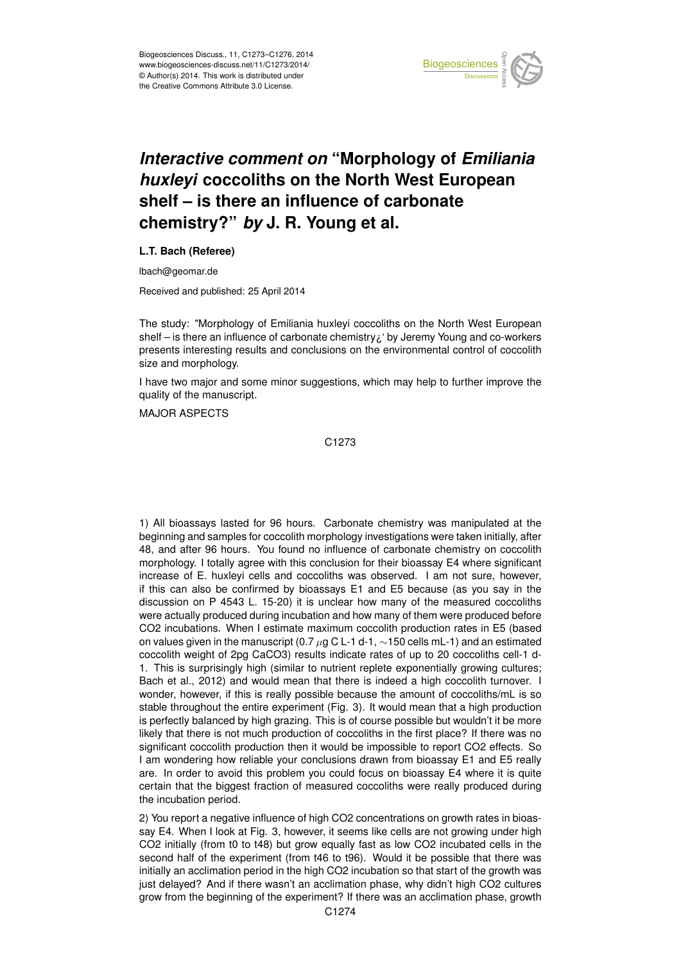

## *Interactive comment on* **"Morphology of** *Emiliania huxleyi* **coccoliths on the North West European shelf – is there an influence of carbonate chemistry?"** *by* **J. R. Young et al.**

## **L.T. Bach (Referee)**

lbach@geomar.de

Received and published: 25 April 2014

The study: "Morphology of Emiliania huxleyi coccoliths on the North West European shelf – is there an influence of carbonate chemistry¿' by Jeremy Young and co-workers presents interesting results and conclusions on the environmental control of coccolith size and morphology.

I have two major and some minor suggestions, which may help to further improve the quality of the manuscript.

MAJOR ASPECTS

C1273

1) All bioassays lasted for 96 hours. Carbonate chemistry was manipulated at the beginning and samples for coccolith morphology investigations were taken initially, after 48, and after 96 hours. You found no influence of carbonate chemistry on coccolith morphology. I totally agree with this conclusion for their bioassay E4 where significant increase of E. huxleyi cells and coccoliths was observed. I am not sure, however, if this can also be confirmed by bioassays E1 and E5 because (as you say in the discussion on P 4543 L. 15-20) it is unclear how many of the measured coccoliths were actually produced during incubation and how many of them were produced before CO2 incubations. When I estimate maximum coccolith production rates in E5 (based on values given in the manuscript (0.7  $\mu$ g C L-1 d-1, ~150 cells mL-1) and an estimated coccolith weight of 2pg CaCO3) results indicate rates of up to 20 coccoliths cell-1 d-1. This is surprisingly high (similar to nutrient replete exponentially growing cultures; Bach et al., 2012) and would mean that there is indeed a high coccolith turnover. I wonder, however, if this is really possible because the amount of coccoliths/mL is so stable throughout the entire experiment (Fig. 3). It would mean that a high production is perfectly balanced by high grazing. This is of course possible but wouldn't it be more likely that there is not much production of coccoliths in the first place? If there was no significant coccolith production then it would be impossible to report CO2 effects. So I am wondering how reliable your conclusions drawn from bioassay E1 and E5 really are. In order to avoid this problem you could focus on bioassay E4 where it is quite certain that the biggest fraction of measured coccoliths were really produced during the incubation period.

2) You report a negative influence of high CO2 concentrations on growth rates in bioassay E4. When I look at Fig. 3, however, it seems like cells are not growing under high CO2 initially (from t0 to t48) but grow equally fast as low CO2 incubated cells in the second half of the experiment (from t46 to t96). Would it be possible that there was initially an acclimation period in the high CO2 incubation so that start of the growth was just delayed? And if there wasn't an acclimation phase, why didn't high CO2 cultures grow from the beginning of the experiment? If there was an acclimation phase, growth